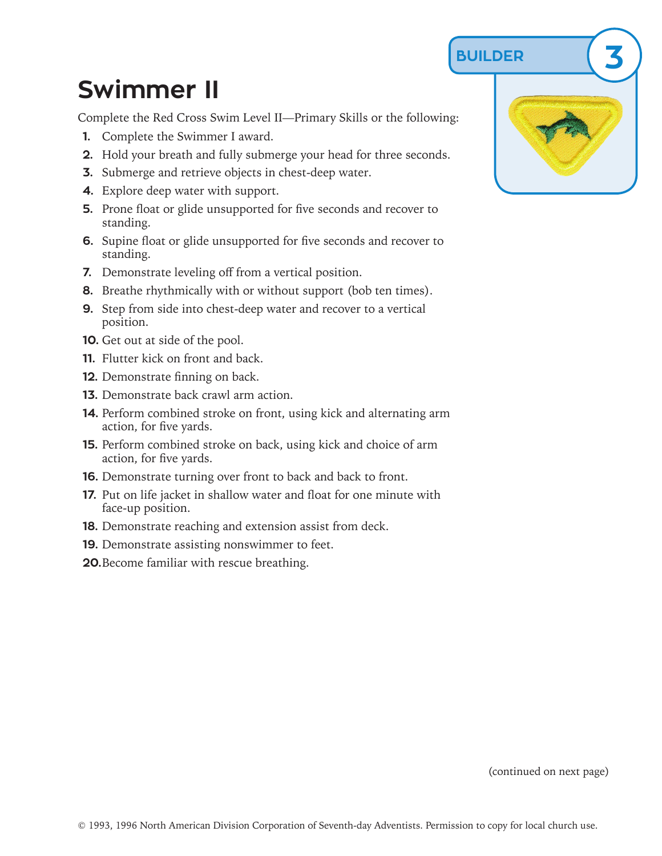**BUILDER 3**

## **Swimmer II**

Complete the Red Cross Swim Level II—Primary Skills or the following:

- **1.** Complete the Swimmer I award.
- **2.** Hold your breath and fully submerge your head for three seconds.
- **3.** Submerge and retrieve objects in chest-deep water.
- **4.** Explore deep water with support.
- **5.** Prone float or glide unsupported for five seconds and recover to standing.
- **6.** Supine float or glide unsupported for five seconds and recover to standing.
- **7.** Demonstrate leveling off from a vertical position.
- **8.** Breathe rhythmically with or without support (bob ten times).
- **9.** Step from side into chest-deep water and recover to a vertical position.
- **10.** Get out at side of the pool.
- **11.** Flutter kick on front and back.
- **12.** Demonstrate finning on back.
- **13.** Demonstrate back crawl arm action.
- **14.** Perform combined stroke on front, using kick and alternating arm action, for five yards.
- **15.** Perform combined stroke on back, using kick and choice of arm action, for five yards.
- **16.** Demonstrate turning over front to back and back to front.
- **17.** Put on life jacket in shallow water and float for one minute with face-up position.
- **18.** Demonstrate reaching and extension assist from deck.
- **19.** Demonstrate assisting nonswimmer to feet.
- **20.**Become familiar with rescue breathing.



(continued on next page)